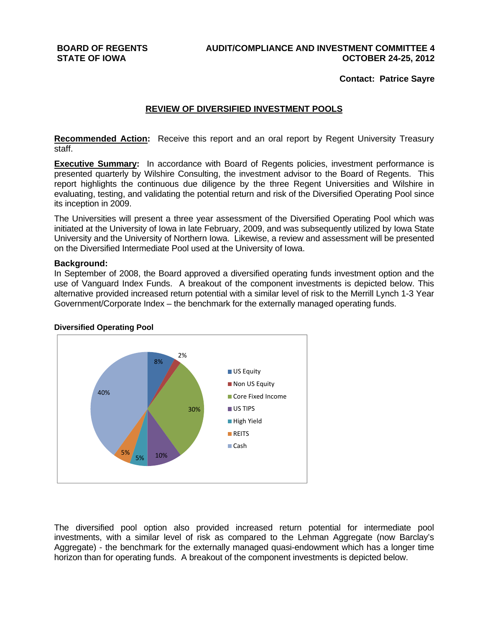**Contact: Patrice Sayre** 

# **REVIEW OF DIVERSIFIED INVESTMENT POOLS**

**Recommended Action:** Receive this report and an oral report by Regent University Treasury staff.

**Executive Summary:** In accordance with Board of Regents policies, investment performance is presented quarterly by Wilshire Consulting, the investment advisor to the Board of Regents. This report highlights the continuous due diligence by the three Regent Universities and Wilshire in evaluating, testing, and validating the potential return and risk of the Diversified Operating Pool since its inception in 2009.

The Universities will present a three year assessment of the Diversified Operating Pool which was initiated at the University of Iowa in late February, 2009, and was subsequently utilized by Iowa State University and the University of Northern Iowa. Likewise, a review and assessment will be presented on the Diversified Intermediate Pool used at the University of Iowa.

### **Background:**

In September of 2008, the Board approved a diversified operating funds investment option and the use of Vanguard Index Funds. A breakout of the component investments is depicted below. This alternative provided increased return potential with a similar level of risk to the Merrill Lynch 1-3 Year Government/Corporate Index – the benchmark for the externally managed operating funds.



### **Diversified Operating Pool**

The diversified pool option also provided increased return potential for intermediate pool investments, with a similar level of risk as compared to the Lehman Aggregate (now Barclay's Aggregate) - the benchmark for the externally managed quasi-endowment which has a longer time horizon than for operating funds. A breakout of the component investments is depicted below.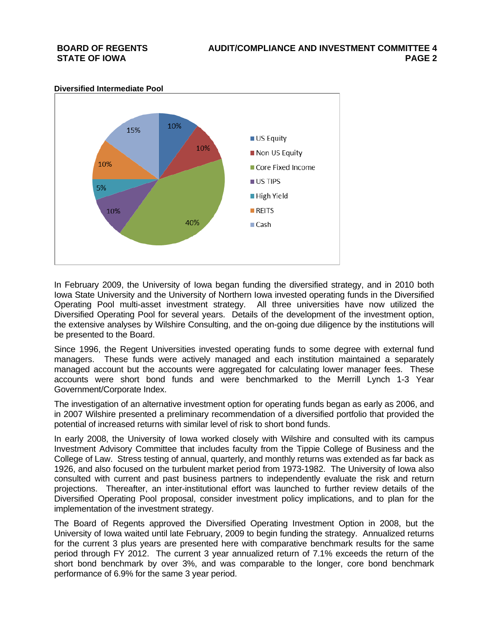

In February 2009, the University of Iowa began funding the diversified strategy, and in 2010 both Iowa State University and the University of Northern Iowa invested operating funds in the Diversified Operating Pool multi-asset investment strategy. All three universities have now utilized the Diversified Operating Pool for several years. Details of the development of the investment option, the extensive analyses by Wilshire Consulting, and the on-going due diligence by the institutions will be presented to the Board.

Since 1996, the Regent Universities invested operating funds to some degree with external fund managers. These funds were actively managed and each institution maintained a separately managed account but the accounts were aggregated for calculating lower manager fees. These accounts were short bond funds and were benchmarked to the Merrill Lynch 1-3 Year Government/Corporate Index.

The investigation of an alternative investment option for operating funds began as early as 2006, and in 2007 Wilshire presented a preliminary recommendation of a diversified portfolio that provided the potential of increased returns with similar level of risk to short bond funds.

In early 2008, the University of Iowa worked closely with Wilshire and consulted with its campus Investment Advisory Committee that includes faculty from the Tippie College of Business and the College of Law. Stress testing of annual, quarterly, and monthly returns was extended as far back as 1926, and also focused on the turbulent market period from 1973-1982. The University of Iowa also consulted with current and past business partners to independently evaluate the risk and return projections. Thereafter, an inter-institutional effort was launched to further review details of the Diversified Operating Pool proposal, consider investment policy implications, and to plan for the implementation of the investment strategy.

The Board of Regents approved the Diversified Operating Investment Option in 2008, but the University of Iowa waited until late February, 2009 to begin funding the strategy. Annualized returns for the current 3 plus years are presented here with comparative benchmark results for the same period through FY 2012. The current 3 year annualized return of 7.1% exceeds the return of the short bond benchmark by over 3%, and was comparable to the longer, core bond benchmark performance of 6.9% for the same 3 year period.